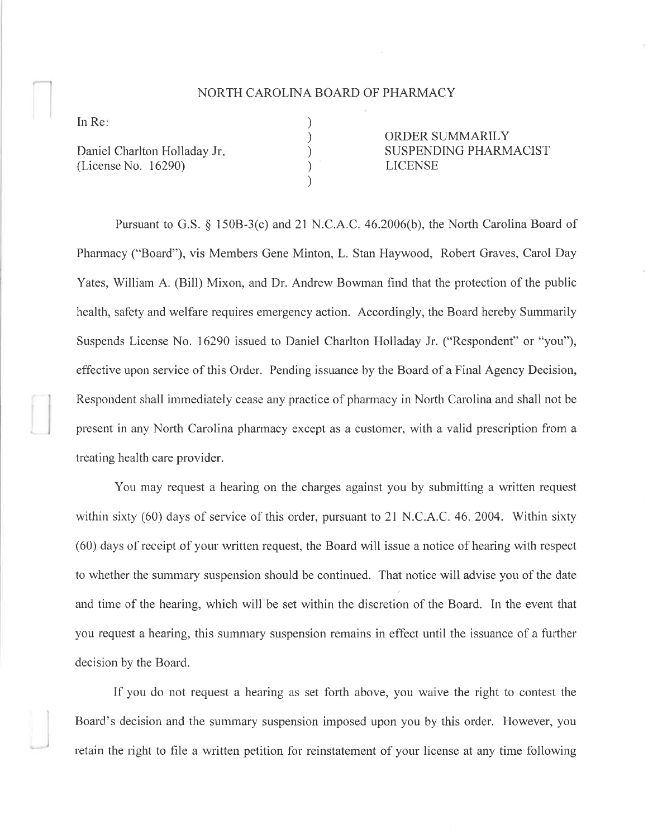## NORTH CAROLINA BOARD OF PHARMACY

) ) ) ) )

In Re

)

Daniel Charlton Holladay Jr (License No. 16290)

ORDER SUMMARILY SUSPENDING PHARMACIST **LICENSE** 

Pursuant to G.S. \$ 1508-3(c) and 21N.C.A.C. 46.2006(b), the North Carolina Board of Pharmacy ("Board"), vis Members Gene Minton, L. Stan Haywood, Robert Graves, Carol Day Yates, William A. (Bill) Mixon, and Dr. Andrew Bowman find that the protection of the public health, safety and welfare requires emergency action. Accordingly, the Board hereby Summarily Suspends License No. 16290 issued to Daniel Charlton Holladay Jr. ("Respondent" or "you"), effective upon service of this Order. Pending issuance by the Board of a Final Agency Decision, Respondent shall immediately cease any practice of pharmacy in North Carolina and shall not be present in any North Carolina pharmacy except as a customer, with a valid prescription from a treating health care provider.

You may request a hearing on the charges against you by subrnitting a written request within sixty  $(60)$  days of service of this order, pursuant to 21 N.C.A.C. 46. 2004. Within sixty (60) days of receipt of your written request, the Board will issue a notice of hearing with respect to whether the summary suspension should be continued. That notice will advise you of the date and time of the hearing, which will be set within the discretion of the Board. In the event that you request a hearing, this summary suspension remains in effect until the issuance of a further decision by the Board.

If you do not request a hearing as set forth above, you waive the right to contest the Board's decision and the summary suspension imposed upon you by this order. However, you retain the right to file a written petition for reinstatement of your license at any time following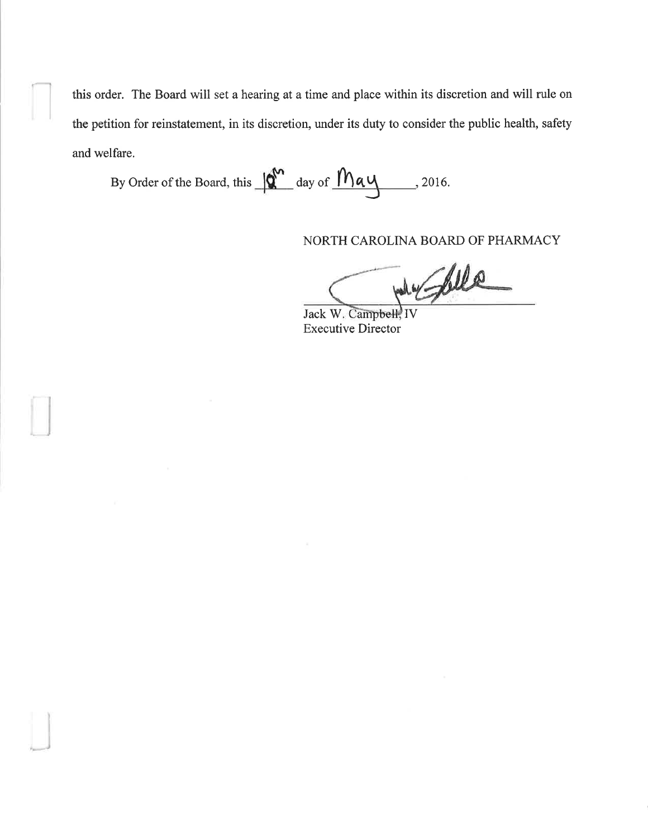this order. The Board will set a hearing at a time and place within its discretion and will rule on the petition for reinstatement, in its discretion, under its duty to consider the public health, safety and welfare.

By Order of the Board, this  $\sqrt{\frac{\omega}{\omega}}$  day of  $\sqrt{\frac{\omega}{\omega}}$ , 2016.

Ļ

NORTH CAROLINA BOARD OF PHARMACY

dy follo

Jack W. Campbell, IV Executive Director